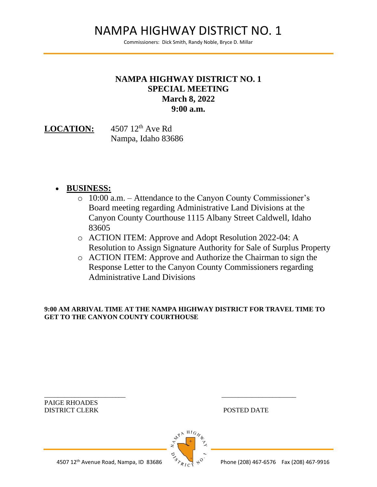# NAMPA HIGHWAY DISTRICT NO. 1

Commissioners: Dick Smith, Randy Noble, Bryce D. Millar

### **NAMPA HIGHWAY DISTRICT NO. 1 SPECIAL MEETING March 8, 2022 9:00 a.m.**

LOCATION: 4507 12<sup>th</sup> Ave Rd Nampa, Idaho 83686

#### • **BUSINESS:**

- o 10:00 a.m. Attendance to the Canyon County Commissioner's Board meeting regarding Administrative Land Divisions at the Canyon County Courthouse 1115 Albany Street Caldwell, Idaho 83605
- o ACTION ITEM: Approve and Adopt Resolution 2022-04: A Resolution to Assign Signature Authority for Sale of Surplus Property
- o ACTION ITEM: Approve and Authorize the Chairman to sign the Response Letter to the Canyon County Commissioners regarding Administrative Land Divisions

**9:00 AM ARRIVAL TIME AT THE NAMPA HIGHWAY DISTRICT FOR TRAVEL TIME TO GET TO THE CANYON COUNTY COURTHOUSE** 

\_\_\_\_\_\_\_\_\_\_\_\_\_\_\_\_\_\_\_\_\_\_\_\_ \_\_\_\_\_\_\_\_\_\_\_\_\_\_\_\_\_\_\_\_\_\_ PAIGE RHOADES DISTRICT CLERK POSTED DATE